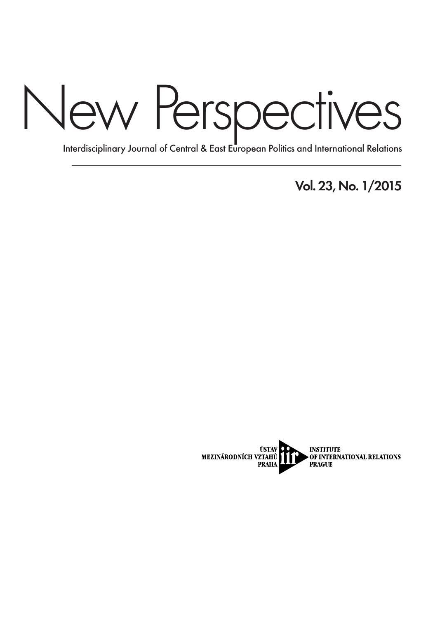# New Perspectives

Interdisciplinary Journal of Central & East European Politics and International Relations

Vol. 23,No. 1/2015

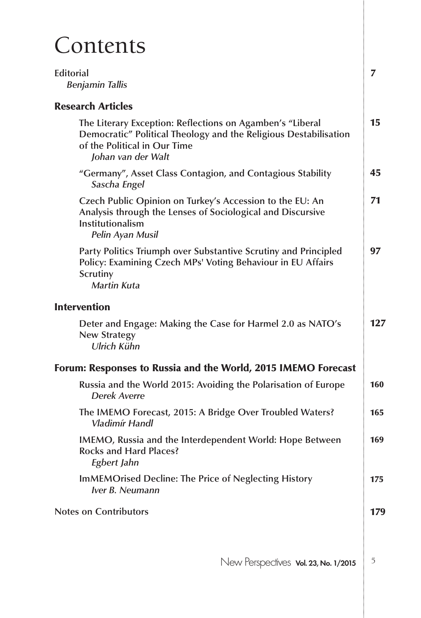# Contents

| <b>Editorial</b><br><b>Benjamin Tallis</b>                                                                                                                                          | 7   |
|-------------------------------------------------------------------------------------------------------------------------------------------------------------------------------------|-----|
| <b>Research Articles</b>                                                                                                                                                            |     |
| The Literary Exception: Reflections on Agamben's "Liberal<br>Democratic" Political Theology and the Religious Destabilisation<br>of the Political in Our Time<br>Johan van der Walt | 15  |
| "Germany", Asset Class Contagion, and Contagious Stability<br>Sascha Engel                                                                                                          | 45  |
| Czech Public Opinion on Turkey's Accession to the EU: An<br>Analysis through the Lenses of Sociological and Discursive<br>Institutionalism<br>Pelin Ayan Musil                      | 71  |
| Party Politics Triumph over Substantive Scrutiny and Principled<br>Policy: Examining Czech MPs' Voting Behaviour in EU Affairs<br>Scrutiny<br><b>Martin Kuta</b>                    | 97  |
| <b>Intervention</b>                                                                                                                                                                 |     |
| Deter and Engage: Making the Case for Harmel 2.0 as NATO's<br><b>New Strategy</b><br><b>Ulrich Kühn</b>                                                                             | 127 |
| Forum: Responses to Russia and the World, 2015 IMEMO Forecast                                                                                                                       |     |
| Russia and the World 2015: Avoiding the Polarisation of Europe<br><b>Derek Averre</b>                                                                                               | 160 |
| The IMEMO Forecast, 2015: A Bridge Over Troubled Waters?<br><b>Vladimír Handl</b>                                                                                                   | 165 |
| IMEMO, Russia and the Interdependent World: Hope Between<br>Rocks and Hard Places?<br>Egbert Jahn                                                                                   | 169 |
| <b>ImMEMOrised Decline: The Price of Neglecting History</b><br>Iver B. Neumann                                                                                                      | 175 |
| <b>Notes on Contributors</b>                                                                                                                                                        | 179 |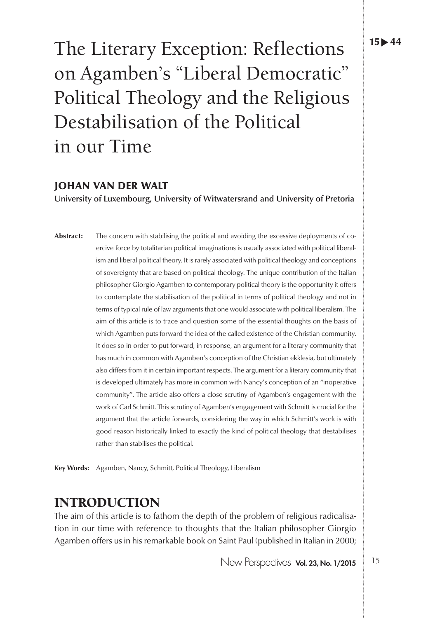# The Literary Exception: Reflections on Agamben's "Liberal Democratic " Political Theology and the Religious Destabilisation of the Political in our Time

#### JOHAN VAN DER WALT

University of Luxembourg, University of Witwatersrand and University of Pretoria

**Abstract:** The concern with stabilising the political and avoiding the excessive deployments of coercive force by totalitarian political imaginations is usually associated with political liberalism and liberal political theory. It is rarely associated with political theology and conceptions of sovereignty that are based on political theology. The unique contribution of the Italian philosopher Giorgio Agamben to contemporary political theory is the opportunity it offers to contemplate the stabilisation of the political in terms of political theology and not in terms of typical rule of law arguments that one would associate with political liberalism. The aim of this article is to trace and question some of the essential thoughts on the basis of which Agamben puts forward the idea of the called existence of the Christian community. It does so in order to put forward, in response, an argument for a literary community that has much in common with Agamben's conception of the Christian ekklesia, but ultimately also differs from it in certain important respects. The argument for a literary community that is developed ultimately has more in common with Nancy's conception of an "inoperative community". The article also offers a close scrutiny of Agamben's engagement with the work of Carl Schmitt. This scrutiny of Agamben's engagement with Schmitt is crucial for the argument that the article forwards, considering the way in which Schmitt's work is with good reason historically linked to exactly the kind of political theology that destabilises rather than stabilises the political.

**Key Words:** Agamben, Nancy, Schmitt, Political Theology, Liberalism

# INTRODUCTION

The aim of this article is to fathom the depth of the problem of religious radicalisation in our time with reference to thoughts that the Italian philosopher Giorgio Agamben offers us in his remarkable book on Saint Paul (published in Italian in 2000;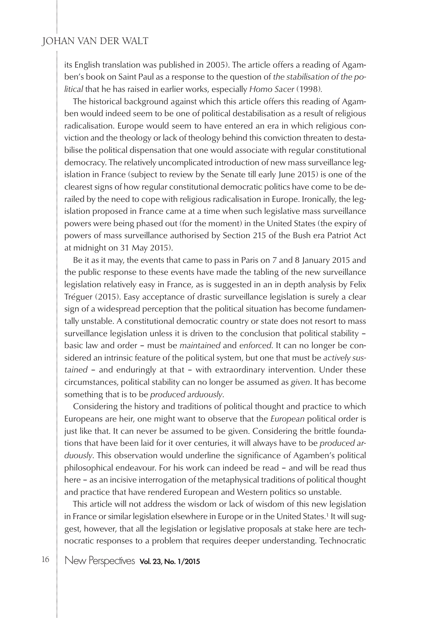its English translation was published in 2005). The article offers a reading of Agamben's book on Saint Paul as a response to the question of *the stabilisation of the political* that he has raised in earlier works, especially *Homo Sacer* (1998)*.*

The historical background against which this article offers this reading of Agamben would indeed seem to be one of political destabilisation as a result of religious radicalisation. Europe would seem to have entered an era in which religious conviction and the theology or lack of theology behind this conviction threaten to destabilise the political dispensation that one would associate with regular constitutional democracy. The relatively uncomplicated introduction of new mass surveillance legislation in France (subject to review by the Senate till early June 2015) is one of the clearest signs of how regular constitutional democratic politics have come to be derailed by the need to cope with religious radicalisation in Europe. Ironically, the legislation proposed in France came at a time when such legislative mass surveillance powers were being phased out (for the moment) in the United States (the expiry of powers of mass surveillance authorised by Section 215 of the Bush era Patriot Act at midnight on 31 May 2015).

Be it as it may, the events that came to pass in Paris on 7 and 8 January 2015 and the public response to these events have made the tabling of the new surveillance legislation relatively easy in France, as is suggested in an in depth analysis by Felix Tréguer (2015). Easy acceptance of drastic surveillance legislation is surely a clear sign of a widespread perception that the political situation has become fundamentally unstable. A constitutional democratic country or state does not resort to mass surveillance legislation unless it is driven to the conclusion that political stability – basic law and order – must be *maintained* and *enforced*. It can no longer be considered an intrinsic feature of the political system, but one that must be *actively sustained* – and enduringly at that – with extraordinary intervention. Under these circumstances, political stability can no longer be assumed as *given*. It has become something that is to be *produced arduously*.

Considering the history and traditions of political thought and practice to which Europeans are heir, one might want to observe that the *European* political order is just like that. It can never be assumed to be given. Considering the brittle foundations that have been laid for it over centuries, it will always have to be *produced arduously*. This observation would underline the significance of Agamben's political philosophical endeavour. For his work can indeed be read – and will be read thus here – as an incisive interrogation of the metaphysical traditions of political thought and practice that have rendered European and Western politics so unstable.

This article will not address the wisdom or lack of wisdom of this new legislation in France or similar legislation elsewhere in Europe or in the United States. <sup>1</sup> It will suggest, however, that all the legislation or legislative proposals at stake here are technocratic responses to a problem that requires deeper understanding. Technocratic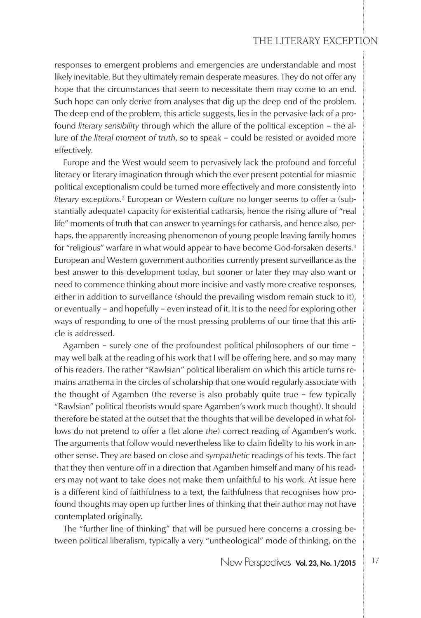responses to emergent problems and emergencies are understandable and most likely inevitable. But they ultimately remain desperate measures. They do not offer any hope that the circumstances that seem to necessitate them may come to an end. Such hope can only derive from analyses that dig up the deep end of the problem. The deep end of the problem, this article suggests, lies in the pervasive lack of a profound *literary sensibility* through which the allure of the political exception – the allure of *the literal moment of truth*, so to speak – could be resisted or avoided more effectively.

Europe and the West would seem to pervasively lack the profound and forceful literacy or literary imagination through which the ever present potential for miasmic political exceptionalism could be turned more effectively and more consistently into *literary exceptions.* <sup>2</sup> European or Western *culture* no longer seems to offer a (substantially adequate) capacity for existential catharsis, hence the rising allure of "real life" moments of truth that can answer to yearnings for catharsis, and hence also, perhaps, the apparently increasing phenomenon of young people leaving family homes for "religious" warfare in what would appear to have become God-forsaken deserts. 3 European and Western government authorities currently present surveillance as the best answer to this development today, but sooner or later they may also want or need to commence thinking about more incisive and vastly more creative responses, either in addition to surveillance (should the prevailing wisdom remain stuck to it), or eventually – and hopefully – even instead of it. It is to the need for exploring other ways of responding to one of the most pressing problems of our time that this article is addressed.

Agamben – surely one of the profoundest political philosophers of our time – may well balk at the reading of his work that I will be offering here, and so may many of his readers. The rather "Rawlsian" political liberalism on which this article turns remains anathema in the circles of scholarship that one would regularly associate with the thought of Agamben (the reverse is also probably quite true – few typically "Rawlsian" political theorists would spare Agamben's work much thought). It should therefore be stated at the outset that the thoughts that will be developed in what follows do not pretend to offer a (let alone *the*) correct reading of Agamben's work. The arguments that follow would nevertheless like to claim fidelity to his work in another sense. They are based on close and *sympathetic* readings of his texts. The fact that they then venture off in a direction that Agamben himself and many of his readers may not want to take does not make them unfaithful to his work. At issue here is a different kind of faithfulness to a text, the faithfulness that recognises how profound thoughts may open up further lines of thinking that their author may not have contemplated originally.

The "further line of thinking" that will be pursued here concerns a crossing between political liberalism, typically a very "untheological" mode of thinking, on the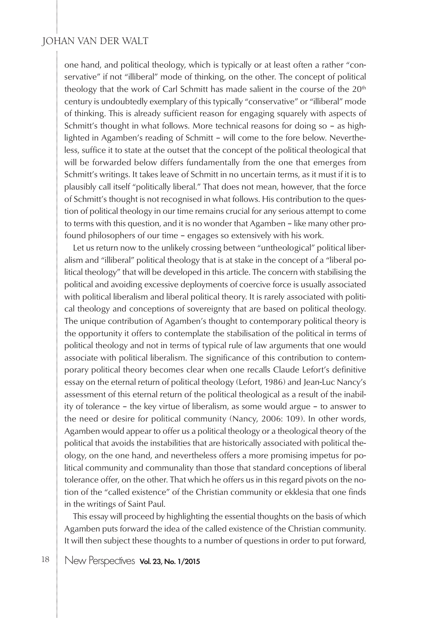one hand, and political theology, which is typically or at least often a rather "conservative" if not "illiberal" mode of thinking, on the other. The concept of political theology that the work of Carl Schmitt has made salient in the course of the 20<sup>th</sup> century is undoubtedly exemplary of this typically "conservative" or "illiberal" mode of thinking. This is already sufficient reason for engaging squarely with aspects of Schmitt's thought in what follows. More technical reasons for doing so – as highlighted in Agamben's reading of Schmitt – will come to the fore below. Nevertheless, suffice it to state at the outset that the concept of the political theological that will be forwarded below differs fundamentally from the one that emerges from Schmitt's writings. It takes leave of Schmitt in no uncertain terms, as it must if it is to plausibly call itself "politically liberal." That does not mean, however, that the force of Schmitt's thought is not recognised in what follows. His contribution to the question of political theology in our time remains crucial for any serious attempt to come to terms with this question, and it is no wonder that Agamben – like many other profound philosophers of our time – engages so extensively with his work.

Let us return now to the unlikely crossing between "untheological" political liberalism and "illiberal" political theology that is at stake in the concept of a "liberal political theology" that will be developed in this article. The concern with stabilising the political and avoiding excessive deployments of coercive force is usually associated with political liberalism and liberal political theory. It is rarely associated with political theology and conceptions of sovereignty that are based on political theology. The unique contribution of Agamben's thought to contemporary political theory is the opportunity it offers to contemplate the stabilisation of the political in terms of political theology and not in terms of typical rule of law arguments that one would associate with political liberalism. The significance of this contribution to contemporary political theory becomes clear when one recalls Claude Lefort's definitive essay on the eternal return of political theology (Lefort, 1986) and Jean-Luc Nancy's assessment of this eternal return of the political theological as a result of the inability of tolerance – the key virtue of liberalism, as some would argue – to answer to the need or desire for political community (Nancy, 2006: 109). In other words, Agamben would appear to offer us a political theology or a theological theory of the political that avoids the instabilities that are historically associated with political theology, on the one hand, and nevertheless offers a more promising impetus for political community and communality than those that standard conceptions of liberal tolerance offer, on the other. That which he offers us in this regard pivots on the notion of the "called existence" of the Christian community or ekklesia that one finds in the writings of Saint Paul.

This essay will proceed by highlighting the essential thoughts on the basis of which Agamben puts forward the idea of the called existence of the Christian community. It will then subject these thoughts to a number of questions in order to put forward,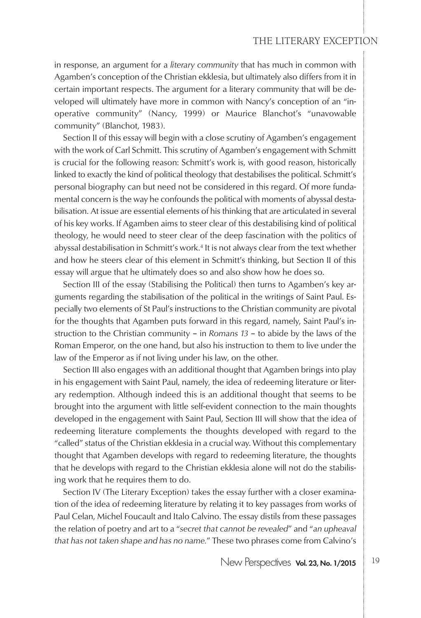in response, an argument for a *literary community* that has much in common with Agamben's conception of the Christian ekklesia, but ultimately also differs from it in certain important respects. The argument for a literary community that will be developed will ultimately have more in common with Nancy's conception of an "inoperative community" (Nancy, 1999) or Maurice Blanchot's "unavowable community" (Blanchot, 1983).

Section II of this essay will begin with a close scrutiny of Agamben's engagement with the work of Carl Schmitt. This scrutiny of Agamben's engagement with Schmitt is crucial for the following reason: Schmitt's work is, with good reason, historically linked to exactly the kind of political theology that destabilises the political. Schmitt's personal biography can but need not be considered in this regard. Of more fundamental concern is the way he confounds the political with moments of abyssal destabilisation. At issue are essential elements of his thinking that are articulated in several of his key works. If Agamben aims to steer clear of this destabilising kind of political theology, he would need to steer clear of the deep fascination with the politics of abyssal destabilisation in Schmitt's work. <sup>4</sup> It is not always clear from the text whether and how he steers clear of this element in Schmitt's thinking, but Section II of this essay will argue that he ultimately does so and also show how he does so.

Section III of the essay (Stabilising the Political) then turns to Agamben's key arguments regarding the stabilisation of the political in the writings of Saint Paul. Especially two elements of St Paul's instructions to the Christian community are pivotal for the thoughts that Agamben puts forward in this regard, namely, Saint Paul's instruction to the Christian community – in *Romans 13* – to abide by the laws of the Roman Emperor, on the one hand, but also his instruction to them to live under the law of the Emperor as if not living under his law, on the other.

Section III also engages with an additional thought that Agamben brings into play in his engagement with Saint Paul, namely, the idea of redeeming literature or literary redemption. Although indeed this is an additional thought that seems to be brought into the argument with little self-evident connection to the main thoughts developed in the engagement with Saint Paul, Section III will show that the idea of redeeming literature complements the thoughts developed with regard to the "called" status of the Christian ekklesia in a crucial way. Without this complementary thought that Agamben develops with regard to redeeming literature, the thoughts that he develops with regard to the Christian ekklesia alone will not do the stabilising work that he requires them to do.

Section IV (The Literary Exception) takes the essay further with a closer examination of the idea of redeeming literature by relating it to key passages from works of Paul Celan, Michel Foucault and Italo Calvino. The essay distils from these passages the relation of poetry and art to a "*secret that cannot be revealed*" and "*an upheaval that has not taken shape and has no name.*" These two phrases come from Calvino's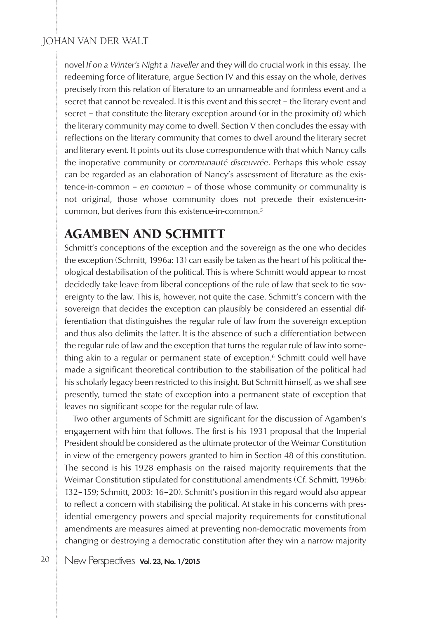novel *If on a Winter's Night a Traveller* and they will do crucial work in this essay. The redeeming force of literature, argue Section IV and this essay on the whole, derives precisely from this relation of literature to an unnameable and formless event and a secret that cannot be revealed. It is this event and this secret – the literary event and secret – that constitute the literary exception around (or in the proximity of) which the literary community may come to dwell. Section V then concludes the essay with reflections on the literary community that comes to dwell around the literary secret and literary event. It points out its close correspondence with that which Nancy calls the inoperative community or *communauté disœuvrée*. Perhaps this whole essay can be regarded as an elaboration of Nancy's assessment of literature as the existence-in-common – *en commun* – of those whose community or communality is not original, those whose community does not precede their existence-incommon, but derives from this existence-in-common. 5

# AGAMBEN AND SCHMITT

Schmitt's conceptions of the exception and the sovereign as the one who decides the exception (Schmitt, 1996a: 13) can easily be taken as the heart of his political theological destabilisation of the political. This is where Schmitt would appear to most decidedly take leave from liberal conceptions of the rule of law that seek to tie sovereignty to the law. This is, however, not quite the case. Schmitt's concern with the sovereign that decides the exception can plausibly be considered an essential differentiation that distinguishes the regular rule of law from the sovereign exception and thus also delimits the latter. It is the absence of such a differentiation between the regular rule of law and the exception that turns the regular rule of law into something akin to a regular or permanent state of exception. <sup>6</sup> Schmitt could well have made a significant theoretical contribution to the stabilisation of the political had his scholarly legacy been restricted to this insight. But Schmitt himself, as we shall see presently, turned the state of exception into a permanent state of exception that leaves no significant scope for the regular rule of law.

Two other arguments of Schmitt are significant for the discussion of Agamben's engagement with him that follows. The first is his 1931 proposal that the Imperial President should be considered as the ultimate protector of the Weimar Constitution in view of the emergency powers granted to him in Section 48 of this constitution. The second is his 1928 emphasis on the raised majority requirements that the Weimar Constitution stipulated for constitutional amendments (Cf. Schmitt, 1996b: 132–159; Schmitt, 2003: 16–20). Schmitt's position in this regard would also appear to reflect a concern with stabilising the political. At stake in his concerns with presidential emergency powers and special majority requirements for constitutional amendments are measures aimed at preventing non-democratic movements from changing or destroying a democratic constitution after they win a narrow majority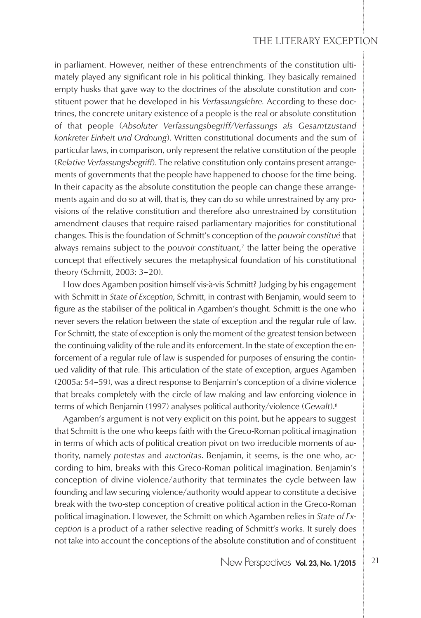in parliament. However, neither of these entrenchments of the constitution ultimately played any significant role in his political thinking. They basically remained empty husks that gave way to the doctrines of the absolute constitution and constituent power that he developed in his *Verfassungslehre.* According to these doctrines, the concrete unitary existence of a people is the real or absolute constitution of that people (*Absoluter Verfassungsbegriff/Verfassungs als Gesamtzustand konkreter Einheit und Ordnung*). Written constitutional documents and the sum of particular laws, in comparison, only represent the relative constitution of the people (*Relative Verfassungsbegriff*). The relative constitution only contains present arrangements of governments that the people have happened to choose for the time being. In their capacity as the absolute constitution the people can change these arrangements again and do so at will, that is, they can do so while unrestrained by any provisions of the relative constitution and therefore also unrestrained by constitution amendment clauses that require raised parliamentary majorities for constitutional changes. This is the foundation of Schmitt's conception of the *pouvoir constitué* that always remains subject to the *pouvoir constituant*, <sup>7</sup> the latter being the operative concept that effectively secures the metaphysical foundation of his constitutional theory (Schmitt, 2003: 3–20).

How does Agamben position himself vis-à-vis Schmitt? Judging by his engagement with Schmitt in *State of Exception*, Schmitt, in contrast with Benjamin, would seem to figure as the stabiliser of the political in Agamben's thought. Schmitt is the one who never severs the relation between the state of exception and the regular rule of law. For Schmitt, the state of exception is only the moment of the greatest tension between the continuing validity of the rule and its enforcement. In the state of exception the enforcement of a regular rule of law is suspended for purposes of ensuring the continued validity of that rule. This articulation of the state of exception, argues Agamben (2005a: 54–59), was a direct response to Benjamin's conception of a divine violence that breaks completely with the circle of law making and law enforcing violence in terms of which Benjamin (1997) analyses political authority/violence (*Gewalt*). 8

Agamben's argument is not very explicit on this point, but he appears to suggest that Schmitt is the one who keeps faith with the Greco-Roman political imagination in terms of which acts of political creation pivot on two irreducible moments of authority, namely *potestas* and *auctoritas*. Benjamin, it seems, is the one who, according to him, breaks with this Greco-Roman political imagination. Benjamin's conception of divine violence/authority that terminates the cycle between law founding and law securing violence/authority would appear to constitute a decisive break with the two-step conception of creative political action in the Greco-Roman political imagination. However, the Schmitt on which Agamben relies in *State of Exception* is a product of a rather selective reading of Schmitt's works. It surely does not take into account the conceptions of the absolute constitution and of constituent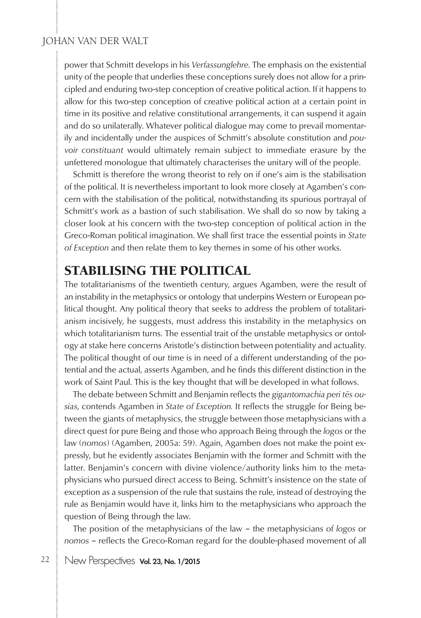power that Schmitt develops in his *Verfassunglehre*. The emphasis on the existential unity of the people that underlies these conceptions surely does not allow for a principled and enduring two-step conception of creative political action. If it happens to allow for this two-step conception of creative political action at a certain point in time in its positive and relative constitutional arrangements, it can suspend it again and do so unilaterally. Whatever political dialogue may come to prevail momentarily and incidentally under the auspices of Schmitt's absolute constitution and *pouvoir constituant* would ultimately remain subject to immediate erasure by the unfettered monologue that ultimately characterises the unitary will of the people.

Schmitt is therefore the wrong theorist to rely on if one's aim is the stabilisation of the political. It is nevertheless important to look more closely at Agamben's concern with the stabilisation of the political, notwithstanding its spurious portrayal of Schmitt's work as a bastion of such stabilisation. We shall do so now by taking a closer look at his concern with the two-step conception of political action in the Greco-Roman political imagination. We shall first trace the essential points in *State of Exception* and then relate them to key themes in some of his other works.

# STABILISING THE POLITICAL

The totalitarianisms of the twentieth century, argues Agamben, were the result of an instability in the metaphysics or ontology that underpins Western or European political thought. Any political theory that seeks to address the problem of totalitarianism incisively, he suggests, must address this instability in the metaphysics on which totalitarianism turns. The essential trait of the unstable metaphysics or ontology at stake here concerns Aristotle's distinction between potentiality and actuality. The political thought of our time is in need of a different understanding of the potential and the actual, asserts Agamben, and he finds this different distinction in the work of Saint Paul. This is the key thought that will be developed in what follows.

The debate between Schmitt and Benjamin reflects the *gigantomachia peri tēs ousias*, contends Agamben in *State of Exception.* It reflects the struggle for Being between the giants of metaphysics, the struggle between those metaphysicians with a direct quest for pure Being and those who approach Being through the *logos* or the law (*nomos*) (Agamben, 2005a: 59). Again, Agamben does not make the point expressly, but he evidently associates Benjamin with the former and Schmitt with the latter. Benjamin's concern with divine violence/authority links him to the metaphysicians who pursued direct access to Being. Schmitt's insistence on the state of exception as a suspension of the rule that sustains the rule, instead of destroying the rule as Benjamin would have it, links him to the metaphysicians who approach the question of Being through the law.

The position of the metaphysicians of the law – the metaphysicians of *logos* or *nomos* – reflects the Greco-Roman regard for the double-phased movement of all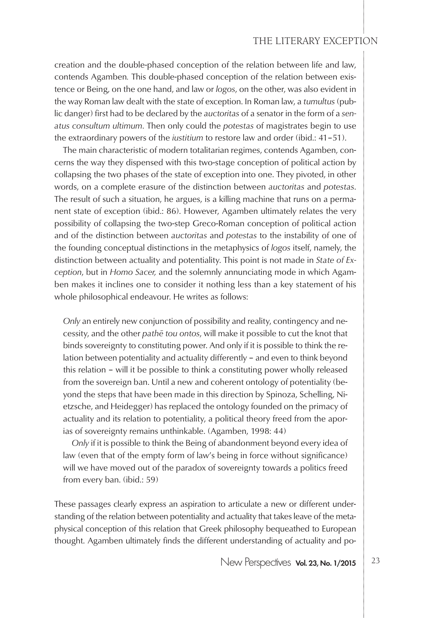creation and the double-phased conception of the relation between life and law, contends Agamben*.* This double-phased conception of the relation between existence or Being, on the one hand, and law or *logos*, on the other, was also evident in the way Roman law dealt with the state of exception. In Roman law, a *tumultus* (public danger) first had to be declared by the *auctoritas* of a senator in the form of a *senatus consultum ultimum*. Then only could the *potestas* of magistrates begin to use the extraordinary powers of the *iustitium* to restore law and order (ibid.: 41–51).

The main characteristic of modern totalitarian regimes, contends Agamben, concerns the way they dispensed with this two-stage conception of political action by collapsing the two phases of the state of exception into one. They pivoted, in other words, on a complete erasure of the distinction between *auctoritas* and *potestas*. The result of such a situation, he argues, is a killing machine that runs on a permanent state of exception (ibid.: 86). However, Agamben ultimately relates the very possibility of collapsing the two-step Greco-Roman conception of political action and of the distinction between *auctoritas* and *potestas* to the instability of one of the founding conceptual distinctions in the metaphysics of *logos* itself, namely, the distinction between actuality and potentiality. This point is not made in *State of Exception*, but in *Homo Sacer,* and the solemnly annunciating mode in which Agamben makes it inclines one to consider it nothing less than a key statement of his whole philosophical endeavour. He writes as follows:

*Only* an entirely new conjunction of possibility and reality, contingency and necessity, and the other *pathē tou ontos*, will make it possible to cut the knot that binds sovereignty to constituting power. And only if it is possible to think the relation between potentiality and actuality differently – and even to think beyond this relation – will it be possible to think a constituting power wholly released from the sovereign ban. Until a new and coherent ontology of potentiality (beyond the steps that have been made in this direction by Spinoza, Schelling, Nietzsche, and Heidegger) has replaced the ontology founded on the primacy of actuality and its relation to potentiality, a political theory freed from the aporias of sovereignty remains unthinkable. (Agamben, 1998: 44)

*Only* if it is possible to think the Being of abandonment beyond every idea of law (even that of the empty form of law's being in force without significance) will we have moved out of the paradox of sovereignty towards a politics freed from every ban. (ibid.: 59)

These passages clearly express an aspiration to articulate a new or different understanding of the relation between potentiality and actuality that takes leave of the metaphysical conception of this relation that Greek philosophy bequeathed to European thought. Agamben ultimately finds the different understanding of actuality and po-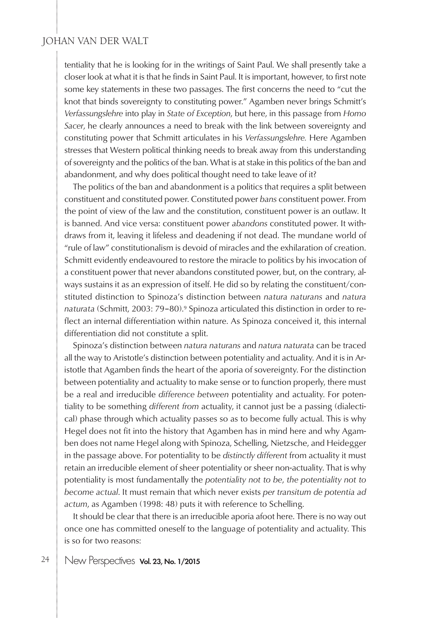tentiality that he is looking for in the writings of Saint Paul. We shall presently take a closer look at what it is that he finds in Saint Paul. It is important, however, to first note some key statements in these two passages. The first concerns the need to "cut the knot that binds sovereignty to constituting power." Agamben never brings Schmitt's *Verfassungslehre* into play in *State of Exception*, but here, in this passage from *Homo Sacer*, he clearly announces a need to break with the link between sovereignty and constituting power that Schmitt articulates in his *Verfassungslehre.* Here Agamben stresses that Western political thinking needs to break away from this understanding of sovereignty and the politics of the ban. What is at stake in this politics of the ban and abandonment, and why does political thought need to take leave of it?

The politics of the ban and abandonment is a politics that requires a split between constituent and constituted power. Constituted power *bans* constituent power. From the point of view of the law and the constitution, constituent power is an outlaw. It is banned. And vice versa: constituent power *abandons* constituted power. It withdraws from it, leaving it lifeless and deadening if not dead. The mundane world of "rule of law" constitutionalism is devoid of miracles and the exhilaration of creation. Schmitt evidently endeavoured to restore the miracle to politics by his invocation of a constituent power that never abandons constituted power, but, on the contrary, always sustains it as an expression of itself. He did so by relating the constituent/constituted distinction to Spinoza's distinction between *natura naturans* and *natura naturata* (Schmitt, 2003: 79–80). <sup>9</sup> Spinoza articulated this distinction in order to reflect an internal differentiation within nature. As Spinoza conceived it, this internal differentiation did not constitute a split.

Spinoza's distinction between *natura naturans* and *natura naturata* can be traced all the way to Aristotle's distinction between potentiality and actuality. And it is in Aristotle that Agamben finds the heart of the aporia of sovereignty. For the distinction between potentiality and actuality to make sense or to function properly, there must be a real and irreducible *difference between* potentiality and actuality. For potentiality to be something *different from* actuality, it cannot just be a passing (dialectical) phase through which actuality passes so as to become fully actual. This is why Hegel does not fit into the history that Agamben has in mind here and why Agamben does not name Hegel along with Spinoza, Schelling, Nietzsche, and Heidegger in the passage above. For potentiality to be *distinctly different* from actuality it must retain an irreducible element of sheer potentiality or sheer non-actuality. That is why potentiality is most fundamentally the *potentiality not to be*, *the potentiality not to become actual*. It must remain that which never exists *per transitum de potentia ad actum*, as Agamben (1998: 48) puts it with reference to Schelling.

It should be clear that there is an irreducible aporia afoot here. There is no way out once one has committed oneself to the language of potentiality and actuality. This is so for two reasons: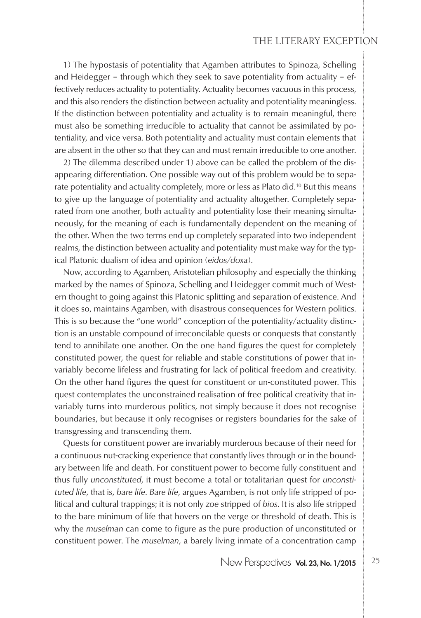1) The hypostasis of potentiality that Agamben attributes to Spinoza, Schelling and Heidegger – through which they seek to save potentiality from actuality – effectively reduces actuality to potentiality. Actuality becomes vacuous in this process, and this also renders the distinction between actuality and potentiality meaningless. If the distinction between potentiality and actuality is to remain meaningful, there must also be something irreducible to actuality that cannot be assimilated by potentiality, and vice versa. Both potentiality and actuality must contain elements that are absent in the other so that they can and must remain irreducible to one another.

2) The dilemma described under 1) above can be called the problem of the disappearing differentiation. One possible way out of this problem would be to separate potentiality and actuality completely, more or less as Plato did. <sup>10</sup> But this means to give up the language of potentiality and actuality altogether. Completely separated from one another, both actuality and potentiality lose their meaning simultaneously, for the meaning of each is fundamentally dependent on the meaning of the other. When the two terms end up completely separated into two independent realms, the distinction between actuality and potentiality must make way for the typical Platonic dualism of idea and opinion (*eidos/doxa*).

Now, according to Agamben, Aristotelian philosophy and especially the thinking marked by the names of Spinoza, Schelling and Heidegger commit much of Western thought to going against this Platonic splitting and separation of existence. And it does so, maintains Agamben, with disastrous consequences for Western politics. This is so because the "one world" conception of the potentiality/actuality distinction is an unstable compound of irreconcilable quests or conquests that constantly tend to annihilate one another. On the one hand figures the quest for completely constituted power, the quest for reliable and stable constitutions of power that invariably become lifeless and frustrating for lack of political freedom and creativity. On the other hand figures the quest for constituent or un-constituted power. This quest contemplates the unconstrained realisation of free political creativity that invariably turns into murderous politics, not simply because it does not recognise boundaries, but because it only recognises or registers boundaries for the sake of transgressing and transcending them.

Quests for constituent power are invariably murderous because of their need for a continuous nut-cracking experience that constantly lives through or in the boundary between life and death. For constituent power to become fully constituent and thus fully *unconstituted*, it must become a total or totalitarian quest for *unconstituted life*, that is, *bare life*. *Bare life*, argues Agamben, is not only life stripped of political and cultural trappings; it is not only *zoe* stripped of *bios*. It is also life stripped to the bare minimum of life that hovers on the verge or threshold of death. This is why the *muselman* can come to figure as the pure production of unconstituted or constituent power. The *muselman*, a barely living inmate of a concentration camp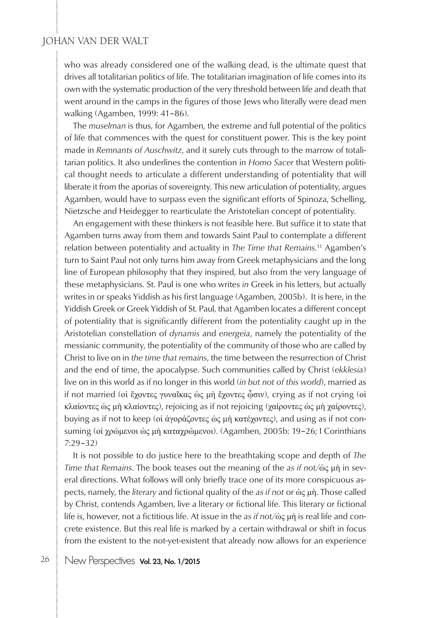who was already considered one of the walking dead, is the ultimate quest that drives all totalitarian politics of life. The totalitarian imagination of life comes into its own with the systematic production of the very threshold between life and death that went around in the camps in the figures of those Jews who literally were dead men walking (Agamben, 1999: 41–86).

The *muselman* is thus, for Agamben, the extreme and full potential of the politics of life that commences with the quest for constituent power. This is the key point made in *Remnants of Auschwitz*, and it surely cuts through to the marrow of totalitarian politics. It also underlines the contention in *Homo Sacer* that Western political thought needs to articulate a different understanding of potentiality that will liberate it from the aporias of sovereignty. This new articulation of potentiality, argues Agamben, would have to surpass even the significant efforts of Spinoza, Schelling, Nietzsche and Heidegger to rearticulate the Aristotelian concept of potentiality.

An engagement with these thinkers is not feasible here. But suffice it to state that Agamben turns away from them and towards Saint Paul to contemplate a different relation between potentiality and actuality in *The Time that Remains.* <sup>11</sup> Agamben's turn to Saint Paul not only turns him away from Greek metaphysicians and the long line of European philosophy that they inspired, but also from the very language of these metaphysicians. St. Paul is one who writes *in* Greek in his letters, but actually writes in or speaks Yiddish as his first language (Agamben, 2005b). It is here, in the Yiddish Greek or Greek Yiddish of St. Paul, that Agamben locates a different concept of potentiality that is significantly different from the potentiality caught up in the Aristotelian constellation of *dynamis* and *energeia*, namely the potentiality of the messianic community, the potentiality of the community of those who are called by Christ to live on in *the time that remains*, the time between the resurrection of Christ and the end of time, the apocalypse. Such communities called by Christ (*ekklesia*) live on in this world as if no longer in this world (*in but not of this world*), married as if not married (οἱ ἔχοντες γυναῖκας ὡς μὴ ἔχοντες ὦσιν), crying as if not crying (οἱ κλαίοντες ὡς µὴ κλαίοντες), rejoicing as if not rejoicing (χαίροντες ὡς µὴ χαίροντες), buying as if not to keep (οἱ ἀγοράζοντες ὡς µὴ κατέχοντες), and using as if not consuming (οἱ χρώµενοι ὡς µὴ καταχρώµενοι). (Agamben, 2005b: 19–26; I Corinthians 7:29–32)

It is not possible to do justice here to the breathtaking scope and depth of *The Time that Remains*. The book teases out the meaning of the *as if not/*ὡς µὴ in several directions. What follows will only briefly trace one of its more conspicuous aspects, namely, the *literary* and fictional quality of the *as if not* or ὡς µὴ. Those called by Christ, contends Agamben, live a literary or fictional life. This literary or fictional life is, however, not a fictitious life. At issue in the *as if not/*ὡς µὴ is real life and concrete existence. But this real life is marked by a certain withdrawal or shift in focus from the existent to the not-yet-existent that already now allows for an experience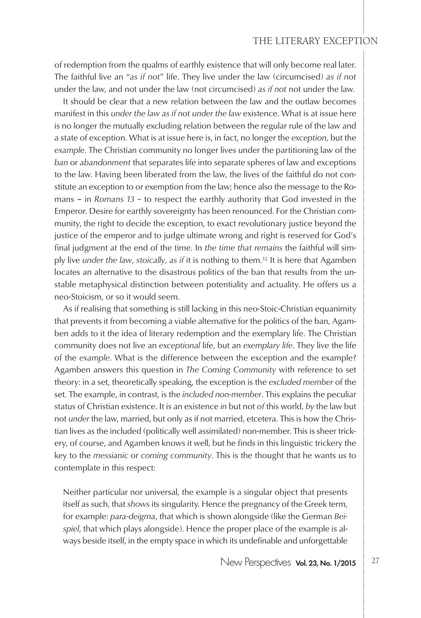of redemption from the qualms of earthly existence that will only become real later. The faithful live an "*as if not*" life. They live under the law (circumcised) *as if not* under the law, and not under the law (not circumcised) *as if not* not under the law.

It should be clear that a new relation between the law and the outlaw becomes manifest in this *under the law as if not under the law* existence. What is at issue here is no longer the mutually excluding relation between the regular rule of the law and a state of exception. What is at issue here is, in fact, no longer the *exception*, but the *example*. The Christian community no longer lives under the partitioning law of the *ban* or *abandonment* that separates life into separate spheres of law and exceptions to the law. Having been liberated from the law, the lives of the faithful do not constitute an exception to or exemption from the law; hence also the message to the Romans – in *Romans 13 –* to respect the earthly authority that God invested in the Emperor. Desire for earthly sovereignty has been renounced. For the Christian community, the right to decide the exception, to exact revolutionary justice beyond the justice of the emperor and to judge ultimate wrong and right is reserved for God's final judgment at the end of the time. In *the time that remains* the faithful will simply live *under the law*, *stoically*, *as if* it is nothing to them. <sup>12</sup> It is here that Agamben locates an alternative to the disastrous politics of the ban that results from the unstable metaphysical distinction between potentiality and actuality. He offers us a neo-Stoicism, or so it would seem.

As if realising that something is still lacking in this neo-Stoic-Christian equanimity that prevents it from becoming a viable alternative for the politics of the ban, Agamben adds to it the idea of literary redemption and the exemplary life. The Christian community does not live an *exceptional* life, but an *exemplary life*. They live the life of the *example*. What is the difference between the exception and the example? Agamben answers this question in *The Coming Community* with reference to set theory: in a set, theoretically speaking, the exception is the *excluded member* of the set. The example, in contrast, is the *included non-member*. This explains the peculiar status of Christian existence. It is an existence *in* but not *of* this world, *by* the law but not *under* the law, married, but only as if not married, etcetera. This is how the Christian lives as the included (politically well assimilated) non-member. This is sheer trickery, of course, and Agamben knows it well, but he finds in this linguistic trickery the key to the *messianic* or *coming community*. This is the thought that he wants us to contemplate in this respect:

Neither particular nor universal, the example is a singular object that presents itself as such, that *shows* its singularity. Hence the pregnancy of the Greek term, for example: *para-deigma*, that which is shown alongside (like the German *Beispiel*, that which plays alongside). Hence the proper place of the example is always beside itself, in the empty space in which its undefinable and unforgettable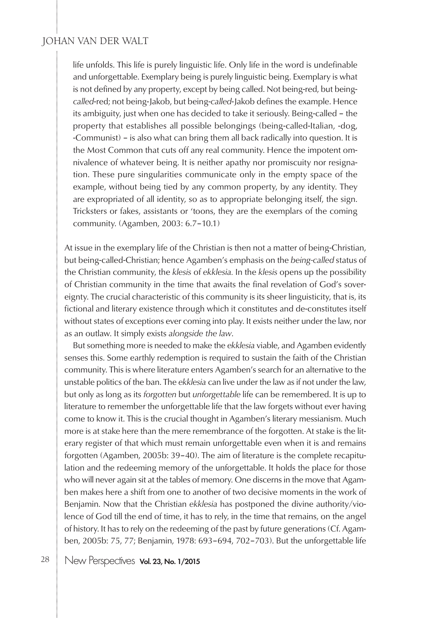life unfolds. This life is purely linguistic life. Only life in the word is undefinable and unforgettable. Exemplary being is purely linguistic being. Exemplary is what is not defined by any property, except by being called. Not being-red, but being*called*-red; not being-Jakob, but being-*called*-Jakob defines the example. Hence its ambiguity, just when one has decided to take it seriously. Being-called – the property that establishes all possible belongings (being-called-Italian, -dog, -Communist) – is also what can bring them all back radically into question. It is the Most Common that cuts off any real community. Hence the impotent omnivalence of whatever being. It is neither apathy nor promiscuity nor resignation. These pure singularities communicate only in the empty space of the example, without being tied by any common property, by any identity. They are expropriated of all identity, so as to appropriate belonging itself, the sign. Tricksters or fakes, assistants or 'toons, they are the exemplars of the coming community. (Agamben, 2003: 6.7–10.1)

At issue in the exemplary life of the Christian is then not a matter of being-Christian, but being-called-Christian; hence Agamben's emphasis on the *being-called* status of the Christian community, the *klesis* of *ekklesia.* In the *klesis* opens up the possibility of Christian community in the time that awaits the final revelation of God's sovereignty. The crucial characteristic of this community is its sheer linguisticity, that is, its fictional and literary existence through which it constitutes and de-constitutes itself without states of exceptions ever coming into play. It exists neither under the law, nor as an outlaw. It simply exists *alongside the law*.

But something more is needed to make the *ekklesia* viable, and Agamben evidently senses this. Some earthly redemption is required to sustain the faith of the Christian community. This is where literature enters Agamben's search for an alternative to the unstable politics of the ban. The *ekklesia* can live under the law as if not under the law, but only as long as its *forgotten* but *unforgettable* life can be remembered. It is up to literature to remember the unforgettable life that the law forgets without ever having come to know it. This is the crucial thought in Agamben's literary messianism. Much more is at stake here than the mere remembrance of the forgotten. At stake is the literary register of that which must remain unforgettable even when it is and remains forgotten (Agamben, 2005b: 39–40). The aim of literature is the complete recapitulation and the redeeming memory of the unforgettable. It holds the place for those who will never again sit at the tables of memory. One discerns in the move that Agamben makes here a shift from one to another of two decisive moments in the work of Benjamin. Now that the Christian *ekklesia* has postponed the divine authority/violence of God till the end of time, it has to rely, in the time that remains, on the angel of history. It has to rely on the redeeming of the past by future generations (Cf. Agamben, 2005b: 75, 77; Benjamin, 1978: 693–694, 702–703). But the unforgettable life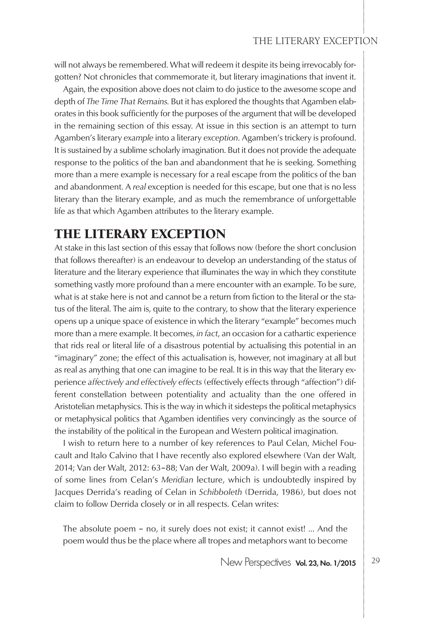will not always be remembered. What will redeem it despite its being irrevocably forgotten? Not chronicles that commemorate it, but literary imaginations that invent it.

Again, the exposition above does not claim to do justice to the awesome scope and depth of *The Time That Remains.* But it has explored the thoughts that Agamben elaborates in this book sufficiently for the purposes of the argument that will be developed in the remaining section of this essay. At issue in this section is an attempt to turn Agamben's literary *example* into a literary *exception*. Agamben's trickery is profound. It is sustained by a sublime scholarly imagination. But it does not provide the adequate response to the politics of the ban and abandonment that he is seeking. Something more than a mere example is necessary for a real escape from the politics of the ban and abandonment. A *real* exception is needed for this escape, but one that is no less literary than the literary example, and as much the remembrance of unforgettable life as that which Agamben attributes to the literary example.

# THE LITERARY EXCEPTION

At stake in this last section of this essay that follows now (before the short conclusion that follows thereafter) is an endeavour to develop an understanding of the status of literature and the literary experience that illuminates the way in which they constitute something vastly more profound than a mere encounter with an example. To be sure, what is at stake here is not and cannot be a return from fiction to the literal or the status of the literal. The aim is, quite to the contrary, to show that the literary experience opens up a unique space of existence in which the literary "example" becomes much more than a mere example. It becomes, *in fact*, an occasion for a cathartic experience that rids real or literal life of a disastrous potential by actualising this potential in an "imaginary" zone; the effect of this actualisation is, however, not imaginary at all but as real as anything that one can imagine to be real. It is in this way that the literary experience *affectively and effectively effects* (effectively effects through "affection") different constellation between potentiality and actuality than the one offered in Aristotelian metaphysics. This is the way in which it sidesteps the political metaphysics or metaphysical politics that Agamben identifies very convincingly as the source of the instability of the political in the European and Western political imagination.

I wish to return here to a number of key references to Paul Celan, Michel Foucault and Italo Calvino that I have recently also explored elsewhere (Van der Walt, 2014; Van der Walt, 2012: 63–88; Van der Walt, 2009a). I will begin with a reading of some lines from Celan's *Meridian* lecture, which is undoubtedly inspired by Jacques Derrida's reading of Celan in *Schibboleth* (Derrida, 1986), but does not claim to follow Derrida closely or in all respects. Celan writes:

The absolute poem – no, it surely does not exist; it cannot exist! ... And the poem would thus be the place where all tropes and metaphors want to become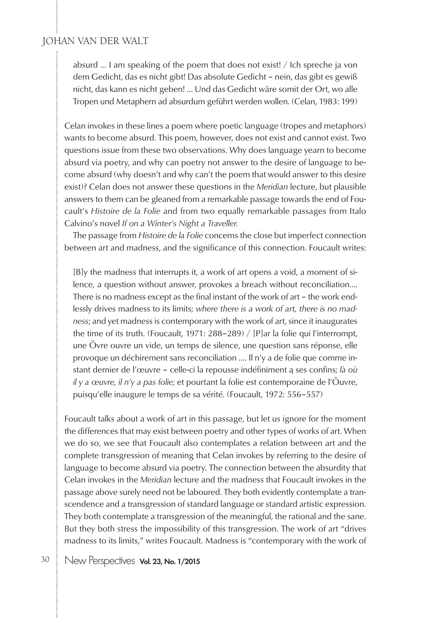absurd … I am speaking of the poem that does not exist! / Ich spreche ja von dem Gedicht, das es nicht gibt! Das absolute Gedicht – nein, das gibt es gewiß nicht, das kann es nicht geben! … Und das Gedicht wäre somit der Ort, wo alle Tropen und Metaphern ad absurdum geführt werden wollen. (Celan, 1983: 199)

Celan invokes in these lines a poem where poetic language (tropes and metaphors) wants to become absurd. This poem, however, does not exist and cannot exist. Two questions issue from these two observations. Why does language yearn to become absurd via poetry, and why can poetry not answer to the desire of language to become absurd (why doesn't and why can't the poem that would answer to this desire exist)? Celan does not answer these questions in the *Meridian* lecture, but plausible answers to them can be gleaned from a remarkable passage towards the end of Foucault's *Histoire de la Folie* and from two equally remarkable passages from Italo Calvino's novel *If on a Winter's Night a Traveller.*

The passage from *Histoire de la Folie* concerns the close but imperfect connection between art and madness, and the significance of this connection. Foucault writes:

[B]y the madness that interrupts it, a work of art opens a void, a moment of silence, a question without answer, provokes a breach without reconciliation.... There is no madness except as the final instant of the work of art – the work endlessly drives madness to its limits; *where there is a work of art, there is no madness*; and yet madness is contemporary with the work of art, since it inaugurates the time of its truth. (Foucault, 1971: 288–289) / [P]ar la folie qui l'interrompt, une Ōvre ouvre un vide, un temps de silence, une question sans réponse, elle provoque un déchirement sans reconciliation …. Il n'y a de folie que comme instant dernier de l'œuvre – celle-ci la repousse indéfiniment ą ses confins; *là où il y a œuvre, il n'y a pas folie;* et pourtant la folie est contemporaine de l'Ōuvre, puisqu'elle inaugure le temps de sa vérité. (Foucault, 1972: 556–557)

Foucault talks about a work of art in this passage, but let us ignore for the moment the differences that may exist between poetry and other types of works of art. When we do so, we see that Foucault also contemplates a relation between art and the complete transgression of meaning that Celan invokes by referring to the desire of language to become absurd via poetry. The connection between the absurdity that Celan invokes in the *Meridian* lecture and the madness that Foucault invokes in the passage above surely need not be laboured. They both evidently contemplate a transcendence and a transgression of standard language or standard artistic expression. They both contemplate a transgression of the meaningful, the rational and the sane. But they both stress the impossibility of this transgression. The work of art "drives madness to its limits," writes Foucault. Madness is "contemporary with the work of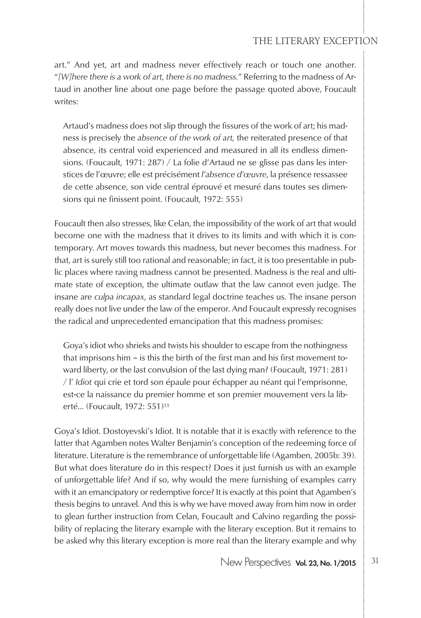art." And yet, art and madness never effectively reach or touch one another. "*[W]here there is a work of art, there is no madness.*" Referring to the madness of Artaud in another line about one page before the passage quoted above, Foucault writes:

Artaud's madness does not slip through the fissures of the work of art; his madness is precisely the *absence of the work of art,* the reiterated presence of that absence, its central void experienced and measured in all its endless dimensions. (Foucault, 1971: 287) / La folie d'Artaud ne se glisse pas dans les interstices de l'œuvre; elle est précisément *l'absence d'œuvre*, la présence ressassee de cette absence, son vide central éprouvé et mesuré dans toutes ses dimensions qui ne finissent point. (Foucault, 1972: 555)

Foucault then also stresses, like Celan, the impossibility of the work of art that would become one with the madness that it drives to its limits and with which it is contemporary. Art moves towards this madness, but never becomes this madness. For that, art is surely still too rational and reasonable; in fact, it is too presentable in public places where raving madness cannot be presented. Madness is the real and ultimate state of exception, the ultimate outlaw that the law cannot even judge. The insane are *culpa incapax*, as standard legal doctrine teaches us. The insane person really does not live under the law of the emperor. And Foucault expressly recognises the radical and unprecedented emancipation that this madness promises:

Goya's idiot who shrieks and twists his shoulder to escape from the nothingness that imprisons him – is this the birth of the first man and his first movement toward liberty, or the last convulsion of the last dying man? (Foucault, 1971: 281) / l' *Idiot* qui crie et tord son épaule pour échapper au néant qui l'emprisonne, est-ce la naissance du premier homme et son premier mouvement vers la liberté… (Foucault, 1972: 551)13

Goya's Idiot. Dostoyevski's Idiot. It is notable that it is exactly with reference to the latter that Agamben notes Walter Benjamin's conception of the redeeming force of literature. Literature is the remembrance of unforgettable life (Agamben, 2005b: 39). But what does literature do in this respect? Does it just furnish us with an example of unforgettable life? And if so, why would the mere furnishing of examples carry with it an emancipatory or redemptive force? It is exactly at this point that Agamben's thesis begins to unravel. And this is why we have moved away from him now in order to glean further instruction from Celan, Foucault and Calvino regarding the possibility of replacing the literary example with the literary exception. But it remains to be asked why this literary exception is more real than the literary example and why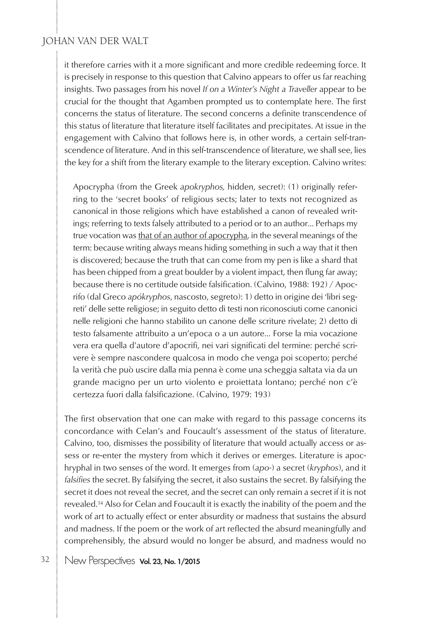it therefore carries with it a more significant and more credible redeeming force. It is precisely in response to this question that Calvino appears to offer us far reaching insights. Two passages from his novel *If on a Winter's Night a Traveller* appear to be crucial for the thought that Agamben prompted us to contemplate here. The first concerns the status of literature. The second concerns a definite transcendence of this status of literature that literature itself facilitates and precipitates. At issue in the engagement with Calvino that follows here is, in other words, a certain self-transcendence of literature. And in this self-transcendence of literature, we shall see, lies the key for a shift from the literary example to the literary exception. Calvino writes:

Apocrypha (from the Greek *apokryphos,* hidden, secret): (1) originally referring to the 'secret books' of religious sects; later to texts not recognized as canonical in those religions which have established a canon of revealed writings; referring to texts falsely attributed to a period or to an author… Perhaps my true vocation was that of an author of apocrypha, in the several meanings of the term: because writing always means hiding something in such a way that it then is discovered; because the truth that can come from my pen is like a shard that has been chipped from a great boulder by a violent impact, then flung far away; because there is no certitude outside falsification. (Calvino, 1988: 192) / Apocrifo (dal Greco *apókryphos*, nascosto, segreto): 1) detto in origine dei 'libri segreti' delle sette religiose; in seguito detto di testi non riconosciuti come canonici nelle religioni che hanno stabilito un canone delle scriture rivelate; 2) detto di testo falsamente attribuito a un'epoca o a un autore… Forse la mia vocazione vera era quella d'autore d'apocrifi, nei vari significati del termine: perché scrivere è sempre nascondere qualcosa in modo che venga poi scoperto; perché la verità che può uscire dalla mia penna è come una scheggia saltata via da un grande macigno per un urto violento e proiettata lontano; perché non c'è certezza fuori dalla falsificazione. (Calvino, 1979: 193)

The first observation that one can make with regard to this passage concerns its concordance with Celan's and Foucault's assessment of the status of literature. Calvino, too, dismisses the possibility of literature that would actually access or assess or re-enter the mystery from which it derives or emerges. Literature is apochryphal in two senses of the word. It emerges from (*apo-*) a secret (*kryphos*), and it *falsifies* the secret. By falsifying the secret, it also sustains the secret. By falsifying the secret it does not reveal the secret, and the secret can only remain a secret if it is not revealed. <sup>14</sup> Also for Celan and Foucault it is exactly the inability of the poem and the work of art to actually effect or enter absurdity or madness that sustains the absurd and madness. If the poem or the work of art reflected the absurd meaningfully and comprehensibly, the absurd would no longer be absurd, and madness would no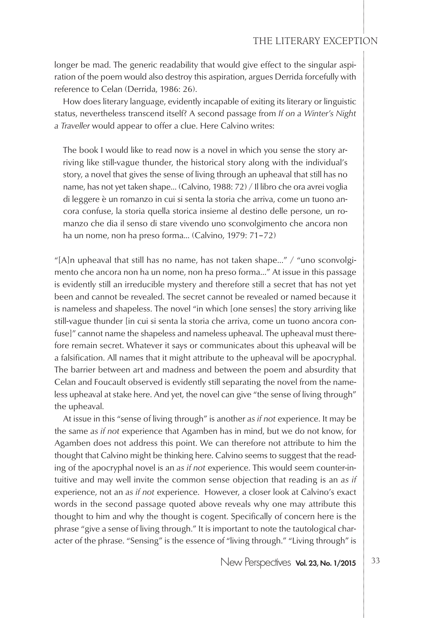longer be mad. The generic readability that would give effect to the singular aspiration of the poem would also destroy this aspiration, argues Derrida forcefully with reference to Celan (Derrida, 1986: 26).

How does literary language, evidently incapable of exiting its literary or linguistic status, nevertheless transcend itself? A second passage from *If on a Winter's Night a Traveller* would appear to offer a clue. Here Calvino writes:

The book I would like to read now is a novel in which you sense the story arriving like still-vague thunder, the historical story along with the individual's story, a novel that gives the sense of living through an upheaval that still has no name, has not yet taken shape… (Calvino, 1988: 72) / Il libro che ora avrei voglia di leggere è un romanzo in cui si senta la storia che arriva, come un tuono ancora confuse, la storia quella storica insieme al destino delle persone, un romanzo che dia il senso di stare vivendo uno sconvolgimento che ancora non ha un nome, non ha preso forma… (Calvino, 1979: 71–72)

"[A]n upheaval that still has no name, has not taken shape..." / "uno sconvolgimento che ancora non ha un nome, non ha preso forma..." At issue in this passage is evidently still an irreducible mystery and therefore still a secret that has not yet been and cannot be revealed. The secret cannot be revealed or named because it is nameless and shapeless. The novel "in which [one senses] the story arriving like still-vague thunder [in cui si senta la storia che arriva, come un tuono ancora confuse]" cannot name the shapeless and nameless upheaval. The upheaval must therefore remain secret. Whatever it says or communicates about this upheaval will be a falsification. All names that it might attribute to the upheaval will be apocryphal. The barrier between art and madness and between the poem and absurdity that Celan and Foucault observed is evidently still separating the novel from the nameless upheaval at stake here. And yet, the novel can give "the sense of living through" the upheaval.

At issue in this "sense of living through" is another *as if not* experience. It may be the same *as if not* experience that Agamben has in mind, but we do not know, for Agamben does not address this point. We can therefore not attribute to him the thought that Calvino might be thinking here. Calvino seems to suggest that the reading of the apocryphal novel is an *as if not* experience. This would seem counter-intuitive and may well invite the common sense objection that reading is an *as if* experience, not an *as if not* experience. However, a closer look at Calvino's exact words in the second passage quoted above reveals why one may attribute this thought to him and why the thought is cogent. Specifically of concern here is the phrase "give a sense of living through." It is important to note the tautological character of the phrase. "Sensing" is the essence of "living through." "Living through" is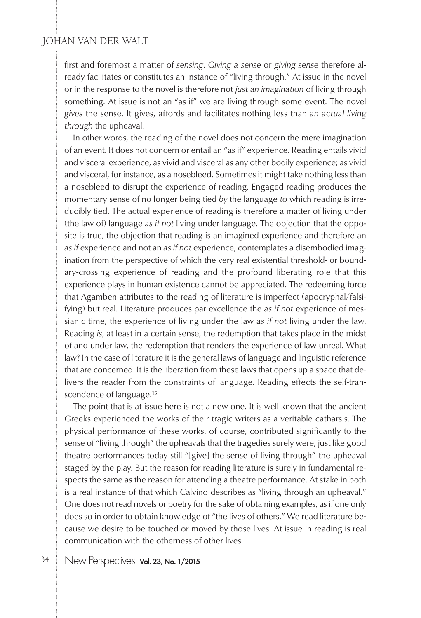first and foremost a matter of *sensing*. *Giving a sense* or *giving sense* therefore already facilitates or constitutes an instance of "living through." At issue in the novel or in the response to the novel is therefore not *just an imagination* of living through something. At issue is not an "as if" we are living through some event. The novel *gives* the sense. It gives, affords and facilitates nothing less than *an actual living through* the upheaval.

In other words, the reading of the novel does not concern the mere imagination of an event. It does not concern or entail an "as if" experience. Reading entails vivid and visceral experience, as vivid and visceral as any other bodily experience; as vivid and visceral, for instance, as a nosebleed. Sometimes it might take nothing less than a nosebleed to disrupt the experience of reading. Engaged reading produces the momentary sense of no longer being tied *by* the language *to* which reading is irreducibly tied. The actual experience of reading is therefore a matter of living under (the law of) language *as if not* living under language. The objection that the opposite is true, the objection that reading is an imagined experience and therefore an *as if* experience and not an *as if not* experience, contemplates a disembodied imagination from the perspective of which the very real existential threshold- or boundary-crossing experience of reading and the profound liberating role that this experience plays in human existence cannot be appreciated. The redeeming force that Agamben attributes to the reading of literature is imperfect (apocryphal/falsifying) but real. Literature produces par excellence the *as if not* experience of messianic time, the experience of living under the law *as if not* living under the law. Reading *is*, at least in a certain sense, the redemption that takes place in the midst of and under law, the redemption that renders the experience of law unreal. What law? In the case of literature it is the general laws of language and linguistic reference that are concerned. It is the liberation from these laws that opens up a space that delivers the reader from the constraints of language. Reading effects the self-transcendence of language. 15

The point that is at issue here is not a new one. It is well known that the ancient Greeks experienced the works of their tragic writers as a veritable catharsis. The physical performance of these works, of course, contributed significantly to the sense of "living through" the upheavals that the tragedies surely were, just like good theatre performances today still "[give] the sense of living through" the upheaval staged by the play. But the reason for reading literature is surely in fundamental respects the same as the reason for attending a theatre performance. At stake in both is a real instance of that which Calvino describes as "living through an upheaval." One does not read novels or poetry for the sake of obtaining examples, as if one only does so in order to obtain knowledge of "the lives of others." We read literature because we desire to be touched or moved by those lives. At issue in reading is real communication with the otherness of other lives.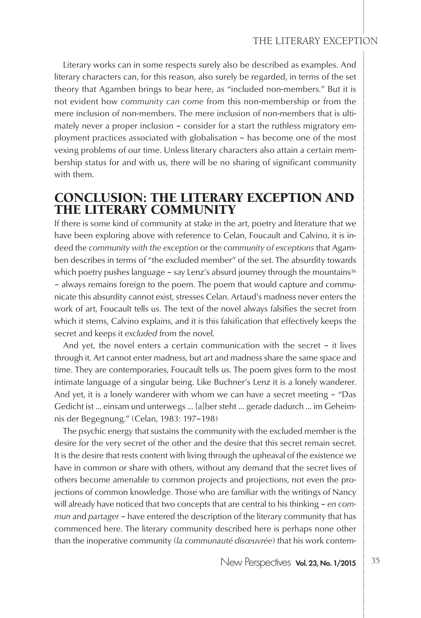Literary works can in some respects surely also be described as examples. And literary characters can, for this reason, also surely be regarded, in terms of the set theory that Agamben brings to bear here, as "included non-members." But it is not evident how *community can come* from this non-membership or from the mere inclusion of non-members. The mere inclusion of non-members that is ultimately never a proper inclusion – consider for a start the ruthless migratory employment practices associated with globalisation – has become one of the most vexing problems of our time. Unless literary characters also attain a certain membership status for and with us, there will be no sharing of significant community with them.

# CONCLUSION: THE LITERARY EXCEPTION AND THE LITERARY COMMUNITY

If there is some kind of community at stake in the art, poetry and literature that we have been exploring above with reference to Celan, Foucault and Calvino, it is indeed the *community with the exception* or the *community of exceptions* that Agamben describes in terms of "the excluded member" of the set. The absurdity towards which poetry pushes language - say Lenz's absurd journey through the mountains<sup>16</sup> – always remains foreign to the poem. The poem that would capture and communicate this absurdity cannot exist, stresses Celan. Artaud's madness never enters the work of art, Foucault tells us. The text of the novel always falsifies the secret from which it stems, Calvino explains, and it is this falsification that effectively keeps the secret and keeps it *excluded* from the novel.

And yet, the novel enters a certain communication with the secret – it lives through it. Art cannot enter madness, but art and madness share the same space and time. They are contemporaries, Foucault tells us. The poem gives form to the most intimate language of a singular being. Like Buchner's Lenz it is a lonely wanderer. And yet, it is a lonely wanderer with whom we can have a secret meeting – "Das Gedicht ist … einsam und unterwegs … [a]ber steht … gerade dadurch … im Geheimnis der Begegnung." (Celan, 1983: 197–198)

The psychic energy that sustains the community with the excluded member is the desire for the very secret of the other and the desire that this secret remain secret. It is the desire that rests content with living through the upheaval of the existence we have in common or share with others, without any demand that the secret lives of others become amenable to common projects and projections, not even the projections of common knowledge. Those who are familiar with the writings of Nancy will already have noticed that two concepts that are central to his thinking – *en commun* and *partager* – have entered the description of the literary community that has commenced here. The literary community described here is perhaps none other than the inoperative community (*la communauté disœuvrée*) that his work contem-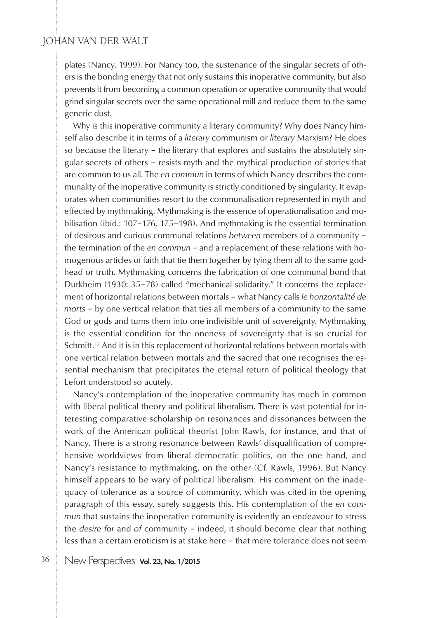plates (Nancy, 1999). For Nancy too, the sustenance of the singular secrets of others is the bonding energy that not only sustains this inoperative community, but also prevents it from becoming a common operation or operative community that would grind singular secrets over the same operational mill and reduce them to the same generic dust.

Why is this inoperative community a literary community? Why does Nancy himself also describe it in terms of a *literary* communism or *literary* Marxism? He does so because the literary – the literary that explores and sustains the absolutely singular secrets of others – resists myth and the mythical production of stories that are common to us all. The *en commun* in terms of which Nancy describes the communality of the inoperative community is strictly conditioned by singularity. It evaporates when communities resort to the communalisation represented in myth and effected by mythmaking. Mythmaking is the essence of operationalisation and mobilisation (ibid.: 107–176, 175–198). And mythmaking is the essential termination of desirous and curious communal relations *between* members of a community – the termination of the *en commun –* and a replacement of these relations with homogenous articles of faith that tie them together by tying them all to the same godhead or truth. Mythmaking concerns the fabrication of one communal bond that Durkheim (1930: 35–78) called "mechanical solidarity." It concerns the replacement of horizontal relations between mortals – what Nancy calls *le horizontalité de morts* – by one vertical relation that ties all members of a community to the same God or gods and turns them into one indivisible unit of sovereignty. Mythmaking is the essential condition for the oneness of sovereignty that is so crucial for Schmitt. <sup>17</sup> And it is in this replacement of horizontal relations between mortals with one vertical relation between mortals and the sacred that one recognises the essential mechanism that precipitates the eternal return of political theology that Lefort understood so acutely.

Nancy's contemplation of the inoperative community has much in common with liberal political theory and political liberalism. There is vast potential for interesting comparative scholarship on resonances and dissonances between the work of the American political theorist John Rawls, for instance, and that of Nancy. There is a strong resonance between Rawls' disqualification of comprehensive worldviews from liberal democratic politics, on the one hand, and Nancy's resistance to mythmaking, on the other (Cf. Rawls, 1996). But Nancy himself appears to be wary of political liberalism. His comment on the inadequacy of tolerance as a source of community, which was cited in the opening paragraph of this essay, surely suggests this. His contemplation of the *en commun* that sustains the inoperative community is evidently an endeavour to stress the *desire for* and *of* community – indeed, it should become clear that nothing less than a certain eroticism is at stake here – that mere tolerance does not seem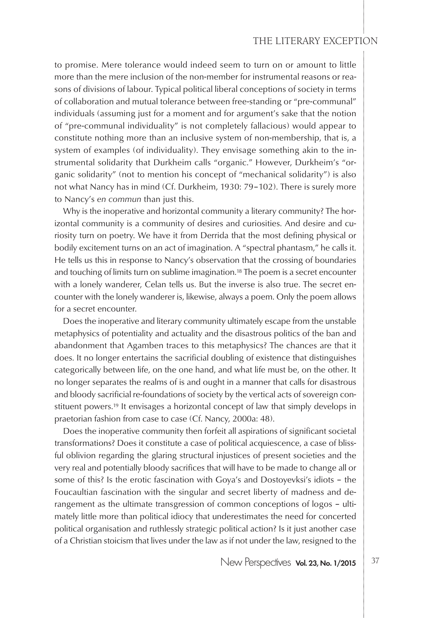to promise. Mere tolerance would indeed seem to turn on or amount to little more than the mere inclusion of the non-member for instrumental reasons or reasons of divisions of labour. Typical political liberal conceptions of society in terms of collaboration and mutual tolerance between free-standing or "pre-communal" individuals (assuming just for a moment and for argument's sake that the notion of "pre-communal individuality" is not completely fallacious) would appear to constitute nothing more than an inclusive system of non-membership, that is, a system of examples (of individuality). They envisage something akin to the instrumental solidarity that Durkheim calls "organic." However, Durkheim's "organic solidarity" (not to mention his concept of "mechanical solidarity") is also not what Nancy has in mind (Cf. Durkheim, 1930: 79–102). There is surely more to Nancy's *en commun* than just this.

Why is the inoperative and horizontal community a literary community? The horizontal community is a community of desires and curiosities. And desire and curiosity turn on poetry. We have it from Derrida that the most defining physical or bodily excitement turns on an act of imagination. A "spectral phantasm," he calls it. He tells us this in response to Nancy's observation that the crossing of boundaries and touching of limits turn on sublime imagination. <sup>18</sup> The poem is a secret encounter with a lonely wanderer, Celan tells us. But the inverse is also true. The secret encounter with the lonely wanderer is, likewise, always a poem. Only the poem allows for a secret encounter.

Does the inoperative and literary community ultimately escape from the unstable metaphysics of potentiality and actuality and the disastrous politics of the ban and abandonment that Agamben traces to this metaphysics? The chances are that it does. It no longer entertains the sacrificial doubling of existence that distinguishes categorically between life, on the one hand, and what life must be, on the other. It no longer separates the realms of is and ought in a manner that calls for disastrous and bloody sacrificial re-foundations of society by the vertical acts of sovereign constituent powers. <sup>19</sup> It envisages a horizontal concept of law that simply develops in praetorian fashion from case to case (Cf. Nancy, 2000a: 48).

Does the inoperative community then forfeit all aspirations of significant societal transformations? Does it constitute a case of political acquiescence, a case of blissful oblivion regarding the glaring structural injustices of present societies and the very real and potentially bloody sacrifices that will have to be made to change all or some of this? Is the erotic fascination with Goya's and Dostoyevksi's idiots – the Foucaultian fascination with the singular and secret liberty of madness and derangement as the ultimate transgression of common conceptions of logos – ultimately little more than political idiocy that underestimates the need for concerted political organisation and ruthlessly strategic political action? Is it just another case of a Christian stoicism that lives under the law as if not under the law, resigned to the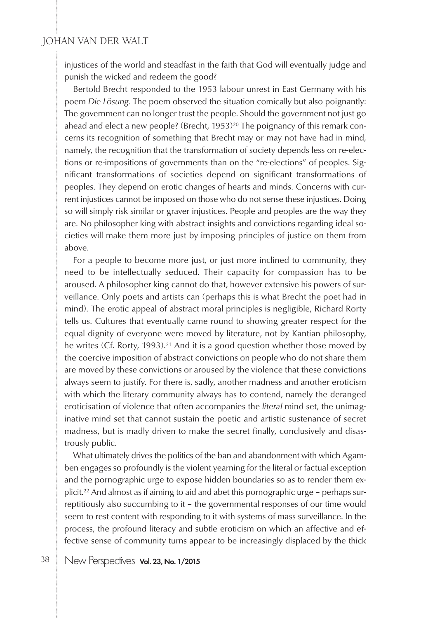injustices of the world and steadfast in the faith that God will eventually judge and punish the wicked and redeem the good?

Bertold Brecht responded to the 1953 labour unrest in East Germany with his poem *Die Lösung.* The poem observed the situation comically but also poignantly: The government can no longer trust the people. Should the government not just go ahead and elect a new people? (Brecht, 1953)<sup>20</sup> The poignancy of this remark concerns its recognition of something that Brecht may or may not have had in mind, namely, the recognition that the transformation of society depends less on re-elections or re-impositions of governments than on the "re-elections" of peoples. Significant transformations of societies depend on significant transformations of peoples. They depend on erotic changes of hearts and minds. Concerns with current injustices cannot be imposed on those who do not sense these injustices. Doing so will simply risk similar or graver injustices. People and peoples are the way they are. No philosopher king with abstract insights and convictions regarding ideal societies will make them more just by imposing principles of justice on them from above.

For a people to become more just, or just more inclined to community, they need to be intellectually seduced. Their capacity for compassion has to be aroused. A philosopher king cannot do that, however extensive his powers of surveillance. Only poets and artists can (perhaps this is what Brecht the poet had in mind). The erotic appeal of abstract moral principles is negligible, Richard Rorty tells us. Cultures that eventually came round to showing greater respect for the equal dignity of everyone were moved by literature, not by Kantian philosophy, he writes (Cf. Rorty, 1993). <sup>21</sup> And it is a good question whether those moved by the coercive imposition of abstract convictions on people who do not share them are moved by these convictions or aroused by the violence that these convictions always seem to justify. For there is, sadly, another madness and another eroticism with which the literary community always has to contend, namely the deranged eroticisation of violence that often accompanies the *literal* mind set, the unimaginative mind set that cannot sustain the poetic and artistic sustenance of secret madness, but is madly driven to make the secret finally, conclusively and disastrously public.

What ultimately drives the politics of the ban and abandonment with which Agamben engages so profoundly is the violent yearning for the literal or factual exception and the pornographic urge to expose hidden boundaries so as to render them explicit. <sup>22</sup> And almost as if aiming to aid and abet this pornographic urge – perhaps surreptitiously also succumbing to it – the governmental responses of our time would seem to rest content with responding to it with systems of mass surveillance. In the process, the profound literacy and subtle eroticism on which an affective and effective sense of community turns appear to be increasingly displaced by the thick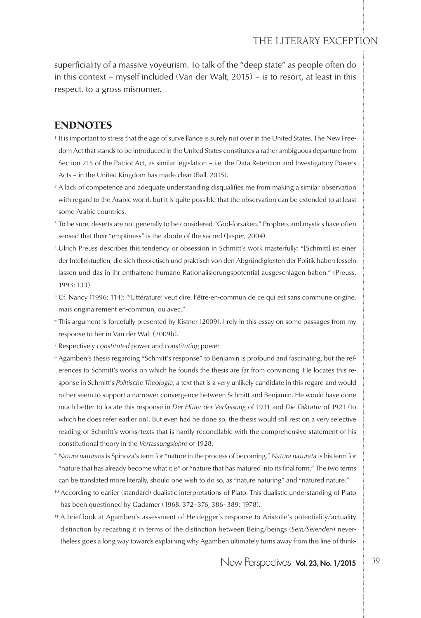superficiality of a massive voyeurism. To talk of the "deep state" as people often do in this context – myself included (Van der Walt, 2015) – is to resort, at least in this respect, to a gross misnomer.

#### ENDNOTES

- <sup>1</sup> It is important to stress that the age of surveillance is surely not over in the United States. The New Freedom Act that stands to be introduced in the United States constitutes a rather ambiguous departure from Section 215 of the Patriot Act, as similar legislation – i.e. the Data Retention and Investigatory Powers Acts – in the United Kingdom has made clear (Ball, 2015).
- <sup>2</sup> A lack of competence and adequate understanding disqualifies me from making a similar observation with regard to the Arabic world, but it is quite possible that the observation can be extended to at least some Arabic countries.
- <sup>3</sup> To be sure, deserts are not generally to be considered "God-forsaken." Prophets and mystics have often sensed that their "emptiness" is the abode of the sacred (Jasper, 2004).
- <sup>4</sup> Ulrich Preuss describes this tendency or obsession in Schmitt's work masterfully: "[Schmitt] ist einer der Intellektuellen, die sich theoretisch und praktisch von den Abgründigkeiten der Politik haben fesseln lassen und das in ihr enthaltene humane Rationalisierungspotential ausgeschlagen haben." (Preuss, 1993: 133)
- <sup>5</sup> Cf. Nancy (1996: 114): "'Littérature' veut dire: l'être-en-commun de ce qui est sans commune origine, mais originairement en-commun, ou avec."
- <sup>6</sup> This argument is forcefully presented by Kistner (2009). I rely in this essay on some passages from my response to her in Van der Walt (2009b).
- <sup>7</sup> Respectively *constituted* power and *constituting* power.
- <sup>8</sup> Agamben's thesis regarding "Schmitt's response" to Benjamin is profound and fascinating, but the references to Schmitt's works on which he founds the thesis are far from convincing. He locates this response in Schmitt's *Politische Theologie*, a text that is a very unlikely candidate in this regard and would rather seem to support a narrower convergence between Schmitt and Benjamin. He would have done much better to locate this response in *Der Hüter der Verfassung* of 1931 and *Die Diktatur* of 1921 (to which he does refer earlier on). But even had he done so, the thesis would still rest on a very selective reading of Schmitt's works/texts that is hardly reconcilable with the comprehensive statement of his constitutional theory in the *Verfassungslehre* of 1928.
- <sup>9</sup> *Natura naturans* is Spinoza's term for "nature in the process of becoming." *Natura naturata* is his term for "nature that has already become what it is" or "nature that has matured into its final form." The two terms can be translated more literally, should one wish to do so, as "nature naturing" and "natured nature."
- <sup>10</sup> According to earlier (standard) dualistic interpretations of Plato. This dualistic understanding of Plato has been questioned by Gadamer (1968: 372–376, 386–389; 1978).
- <sup>11</sup> A brief look at Agamben's assessment of Heidegger's response to Aristotle's potentiality/actuality distinction by recasting it in terms of the distinction between Being/beings (*Sein/Seienden*) nevertheless goes a long way towards explaining why Agamben ultimately turns away from this line of think-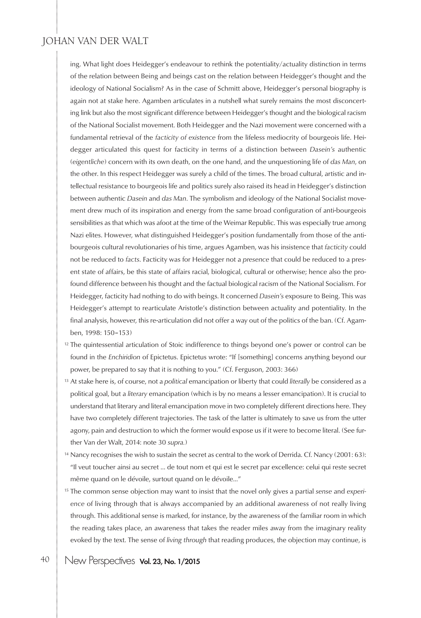ing. What light does Heidegger's endeavour to rethink the potentiality/actuality distinction in terms of the relation between Being and beings cast on the relation between Heidegger's thought and the ideology of National Socialism? As in the case of Schmitt above, Heidegger's personal biography is again not at stake here. Agamben articulates in a nutshell what surely remains the most disconcerting link but also the most significant difference between Heidegger's thought and the biological racism of the National Socialist movement. Both Heidegger and the Nazi movement were concerned with a fundamental retrieval of the *facticity of existence* from the lifeless mediocrity of bourgeois life. Heidegger articulated this quest for facticity in terms of a distinction between *Dasein's* authentic (*eigentliche*) concern with its own death, on the one hand, and the unquestioning life of *das Man*, on the other. In this respect Heidegger was surely a child of the times. The broad cultural, artistic and intellectual resistance to bourgeois life and politics surely also raised its head in Heidegger's distinction between authentic *Dasein* and *das Man*. The symbolism and ideology of the National Socialist movement drew much of its inspiration and energy from the same broad configuration of anti-bourgeois sensibilities as that which was afoot at the time of the Weimar Republic. This was especially true among Nazi elites. However, what distinguished Heidegger's position fundamentally from those of the antibourgeois cultural revolutionaries of his time, argues Agamben, was his insistence that *facticity* could not be reduced to *facts*. Facticity was for Heidegger not a *presence* that could be reduced to a present state of affairs, be this state of affairs racial, biological, cultural or otherwise; hence also the profound difference between his thought and the factual biological racism of the National Socialism. For Heidegger, facticity had nothing to do with beings. It concerned *Dasein's* exposure to Being. This was Heidegger's attempt to rearticulate Aristotle's distinction between actuality and potentiality. In the final analysis, however, this re-articulation did not offer a way out of the politics of the ban. (Cf. Agamben, 1998: 150–153)

- <sup>12</sup> The quintessential articulation of Stoic indifference to things beyond one's power or control can be found in the *Enchiridion* of Epictetus. Epictetus wrote: "If [something] concerns anything beyond our power, be prepared to say that it is nothing to you." (Cf. Ferguson, 2003: 366)
- <sup>13</sup> At stake here is, of course, not a *political* emancipation or liberty that could *literally* be considered as a political goal, but a *literary* emancipation (which is by no means a lesser emancipation). It is crucial to understand that literary and literal emancipation move in two completely different directions here. They have two completely different trajectories. The task of the latter is ultimately to save us from the utter agony, pain and destruction to which the former would expose us if it were to become literal. (See further Van der Walt, 2014: note 30 *supra.*)
- <sup>14</sup> Nancy recognises the wish to sustain the secret as central to the work of Derrida. Cf. Nancy (2001: 63): "Il veut toucher ainsi au secret … de tout nom et qui est le secret par excellence: celui qui reste secret même quand on le dévoile, surtout quand on le dévoile…"
- <sup>15</sup> The common sense objection may want to insist that the novel only gives a partial *sense* and *experience* of living through that is always accompanied by an additional awareness of not really living through. This additional sense is marked, for instance, by the awareness of the familiar room in which the reading takes place, an awareness that takes the reader miles away from the imaginary reality evoked by the text. The sense of *living through* that reading produces, the objection may continue, is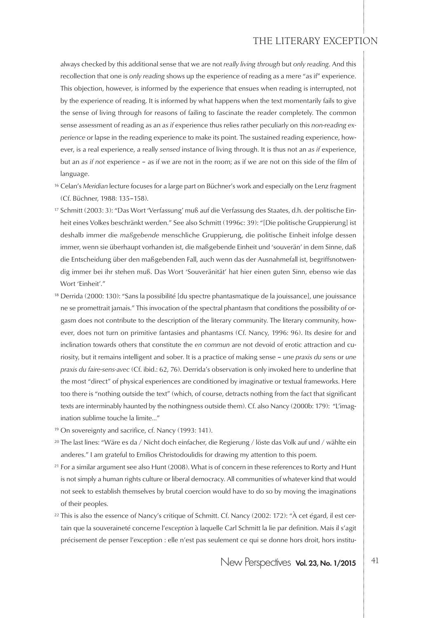always checked by this additional sense that we are not *really living through* but *only reading*. And this recollection that one is *only reading* shows up the experience of reading as a mere "as if" experience. This objection, however, is informed by the experience that ensues when reading is interrupted, not by the experience of reading. It is informed by what happens when the text momentarily fails to give the sense of living through for reasons of failing to fascinate the reader completely. The common sense assessment of reading as an *as if* experience thus relies rather peculiarly on this *non-reading experience* or lapse in the reading experience to make its point. The sustained reading experience, however, is a real experience, a really *sensed* instance of living through. It is thus not an *as if* experience, but an *as if not* experience – as if we are not in the room; as if we are not on this side of the film of language.

- <sup>16</sup> Celan's *Meridian* lecture focuses for a large part on Büchner's work and especially on the Lenz fragment (Cf. Büchner, 1988: 135–158).
- <sup>17</sup> Schmitt (2003: 3): "Das Wort 'Verfassung' muß auf die Verfassung des Staates, d.h. der politische Einheit eines Volkes beschränkt werden." See also Schmitt (1996c: 39): "[Die politische Gruppierung] ist deshalb immer die *maßgebende* menschliche Gruppierung, die politische Einheit infolge dessen immer, wenn sie überhaupt vorhanden ist, die maßgebende Einheit und 'souverän' in dem Sinne, daß die Entscheidung über den maßgebenden Fall, auch wenn das der Ausnahmefall ist, begriffsnotwendig immer bei ihr stehen muß. Das Wort 'Souveränität' hat hier einen guten Sinn, ebenso wie das Wort 'Einheit'."
- <sup>18</sup> Derrida (2000: 130): "Sans la possibilité [du spectre phantasmatique de la jouissance], une jouissance ne se promettrait jamais." This invocation of the spectral phantasm that conditions the possibility of orgasm does not contribute to the description of the literary community. The literary community, however, does not turn on primitive fantasies and phantasms (Cf. Nancy, 1996: 96). Its desire for and inclination towards others that constitute the *en commun* are not devoid of erotic attraction and curiosity, but it remains intelligent and sober. It is a practice of making sense – *une praxis du sens* or *une praxis du faire-sens-avec* (Cf. ibid.: 62, 76). Derrida's observation is only invoked here to underline that the most "direct" of physical experiences are conditioned by imaginative or textual frameworks. Here too there is "nothing outside the text" (which, of course, detracts nothing from the fact that significant texts are interminably haunted by the nothingness outside them). Cf. also Nancy (2000b: 179): "L'imagination sublime touche la limite…"
- <sup>19</sup> On sovereignty and sacrifice, cf. Nancy (1993: 141).
- <sup>20</sup> The last lines: "Wäre es da / Nicht doch einfacher, die Regierung / löste das Volk auf und / wählte ein anderes." I am grateful to Emilios Christodoulidis for drawing my attention to this poem.
- <sup>21</sup> For a similar argument see also Hunt (2008). What is of concern in these references to Rorty and Hunt is not simply a human rights culture or liberal democracy. All communities of whatever kind that would not seek to establish themselves by brutal coercion would have to do so by moving the imaginations of their peoples.
- <sup>22</sup> This is also the essence of Nancy's critique of Schmitt. Cf. Nancy (2002: 172): "À cet égard, il est certain que la souveraineté concerne l'*exception* à laquelle Carl Schmitt la lie par definition. Mais il s'agit précisement de penser l'exception : elle n'est pas seulement ce qui se donne hors droit, hors institu-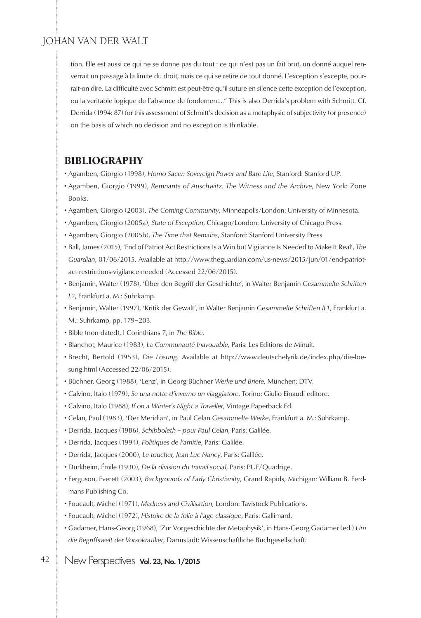tion. Elle est aussi ce qui ne se donne pas du tout : ce qui n'est pas un fait brut, un donné auquel renverrait un passage à la limite du droit, mais ce qui se retire de tout donné. L'exception s'excepte, pourrait-on dire. La difficulté avec Schmitt est peut-être qu'il suture en silence cette exception de l'exception, ou la veritable logique de l'absence de fondement…" This is also Derrida's problem with Schmitt. Cf. Derrida (1994: 87) for this assessment of Schmitt's decision as a metaphysic of subjectivity (or presence) on the basis of which no decision and no exception is thinkable.

#### BIBLIOGRAPHY

- Agamben, Giorgio (1998), *Homo Sacer: Sovereign Power and Bare Life*, Stanford: Stanford UP.
- Agamben, Giorgio (1999), *Remnants of Auschwitz. The Witness and the Archive*, New York: Zone Books.
- Agamben, Giorgio (2003), *The Coming Community*, Minneapolis/London: University of Minnesota.
- Agamben, Giorgio (2005a), *State of Exception*, Chicago/London: University of Chicago Press.
- Agamben, Giorgio (2005b), *The Time that Remains*, Stanford: Stanford University Press.
- Ball, James (2015), 'End of Patriot Act Restrictions Is a Win but Vigilance Is Needed to Make It Real', *The Guardian*, 01/06/2015. Available at http://www.theguardian.com/us-news/2015/jun/01/end-patriotact-restrictions-vigilance-needed (Accessed 22/06/2015).
- Benjamin, Walter (1978), 'Über den Begriff der Geschichte', in Walter Benjamin *Gesammelte Schriften I.2*, Frankfurt a. M.: Suhrkamp.
- Benjamin, Walter (1997), 'Kritik der Gewalt', in Walter Benjamin *Gesammelte Schriften II.1*, Frankfurt a. M.: Suhrkamp, pp. 179–203.
- Bible (non-dated), I Corinthians 7, in *The Bible*.
- Blanchot, Maurice (1983), *La Communauté Inavouable*, Paris: Les Editions de Minuit.
- Brecht, Bertold (1953), *Die Lösung*. Available at http://www.deutschelyrik.de/index.php/die-loesung.html (Accessed 22/06/2015).
- Büchner, Georg (1988), 'Lenz', in Georg Büchner *Werke und Briefe*, München: DTV.
- Calvino, Italo (1979), *Se una notte d'inverno un viaggiatore*, Torino: Giulio Einaudi editore.
- Calvino, Italo (1988), *If on a Winter's Night a Traveller*, Vintage Paperback Ed.
- Celan, Paul (1983), 'Der Meridian', in Paul Celan *Gesammelte Werke*, Frankfurt a. M.: Suhrkamp.
- Derrida, Jacques (1986), *Schibboleth – pour Paul Celan*, Paris: Galilée.
- Derrida, Jacques (1994), *Politiques de l'amitie*, Paris: Galilée.
- Derrida, Jacques (2000), *Le toucher, Jean-Luc Nancy*, Paris: Galilée.
- Durkheim, Émile (1930), *De la division du travail social*, Paris: PUF/Quadrige.
- Ferguson, Everett (2003), *Backgrounds of Early Christianity*, Grand Rapids, Michigan: William B. Eerdmans Publishing Co.
- Foucault, Michel (1971), *Madness and Civilisation*, London: Tavistock Publications.
- Foucault, Michel (1972), *Histoire de la folie à l'age classique*, Paris: Gallimard.
- Gadamer, Hans-Georg (1968), 'Zur Vorgeschichte der Metaphysik', in Hans-Georg Gadamer (ed.) *Um die Begriffswelt der Vorsokratiker*, Darmstadt: Wissenschaftliche Buchgesellschaft.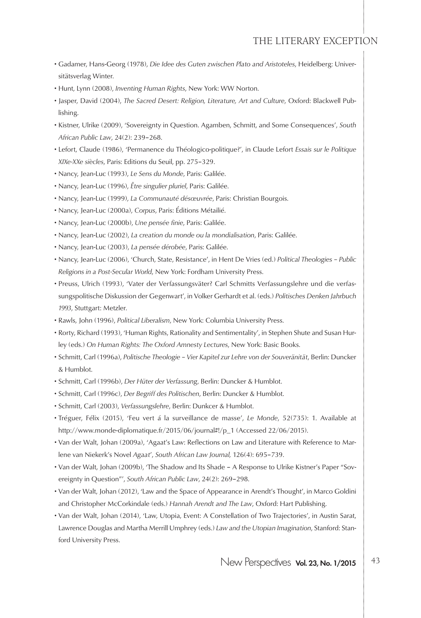- Gadamer, Hans-Georg (1978), *Die Idee des Guten zwischen Plato and Aristoteles*, Heidelberg: Universitätsverlag Winter.
- Hunt, Lynn (2008), *Inventing Human Rights*, New York: WW Norton.
- Jasper, David (2004), *The Sacred Desert: Religion, Literature, Art and Culture*, Oxford: Blackwell Publishing.
- Kistner, Ulrike (2009), 'Sovereignty in Question. Agamben, Schmitt, and Some Consequences', *South African Public Law*, 24(2): 239–268.
- Lefort, Claude (1986), 'Permanence du Théologico-politique?', in Claude Lefort *Essais sur le Politique XIXe-XXe siècles*, Paris: Editions du Seuil, pp. 275–329.
- Nancy, Jean-Luc (1993), *Le Sens du Monde*, Paris: Galilée.
- Nancy, Jean-Luc (1996), *Être singulier pluriel*, Paris: Galilée.
- Nancy, Jean-Luc (1999), *La Communauté désœuvrée*, Paris: Christian Bourgois.
- Nancy, Jean-Luc (2000a), *Corpus*, Paris: Éditions Métailié.
- Nancy, Jean-Luc (2000b), *Une pensée finie*, Paris: Galilée.
- Nancy, Jean-Luc (2002), *La creation du monde ou la mondialisation*, Paris: Galilée.
- Nancy, Jean-Luc (2003), *La pensée dérobée*, Paris: Galilée.
- Nancy, Jean-Luc (2006), 'Church, State, Resistance', in Hent De Vries (ed.) *Political Theologies – Public Religions in a Post-Secular World*, New York: Fordham University Press.
- Preuss, Ulrich (1993), 'Vater der Verfassungsväter? Carl Schmitts Verfassungslehre und die verfassungspolitische Diskussion der Gegenwart', in Volker Gerhardt et al. (eds.) *Politisches Denken Jahrbuch 1993*, Stuttgart: Metzler.
- Rawls, John (1996), *Political Liberalism*, New York: Columbia University Press.
- Rorty, Richard (1993), 'Human Rights, Rationality and Sentimentality', in Stephen Shute and Susan Hurley (eds.) *On Human Rights: The Oxford Amnesty Lectures*, New York: Basic Books.
- Schmitt, Carl (1996a), *Politische Theologie – Vier Kapitel zur Lehre von der Souveränität*, Berlin: Duncker & Humblot.
- Schmitt, Carl (1996b), *Der Hüter der Verfassung*, Berlin: Duncker & Humblot.
- Schmitt, Carl (1996c), *Der Begriff des Politischen*, Berlin: Duncker & Humblot.
- Schmitt, Carl (2003), *Verfassungslehre*, Berlin: Dunkcer & Humblot.
- Tréguer, Félix (2015), 'Feu vert á la surveillance de masse', *Le Monde*, 52(735): 1. Available at http://www.monde-diplomatique.fr/2015/06/journal#!/p\_1 (Accessed 22/06/2015).
- Van der Walt, Johan (2009a), 'Agaat's Law: Reflections on Law and Literature with Reference to Marlene van Niekerk's Novel *Agaat*', *South African Law Journal,* 126(4): 695–739.
- Van der Walt, Johan (2009b), 'The Shadow and Its Shade A Response to Ulrike Kistner's Paper "Sovereignty in Question"', *South African Public Law*, 24(2): 269–298.
- Van der Walt, Johan (2012), 'Law and the Space of Appearance in Arendt's Thought', in Marco Goldini and Christopher McCorkindale (eds.) *Hannah Arendt and The Law*, Oxford: Hart Publishing.
- Van der Walt, Johan (2014), 'Law, Utopia, Event: A Constellation of Two Trajectories', in Austin Sarat, Lawrence Douglas and Martha Merrill Umphrey (eds.) *Law and the Utopian Imagination*, Stanford: Stanford University Press.